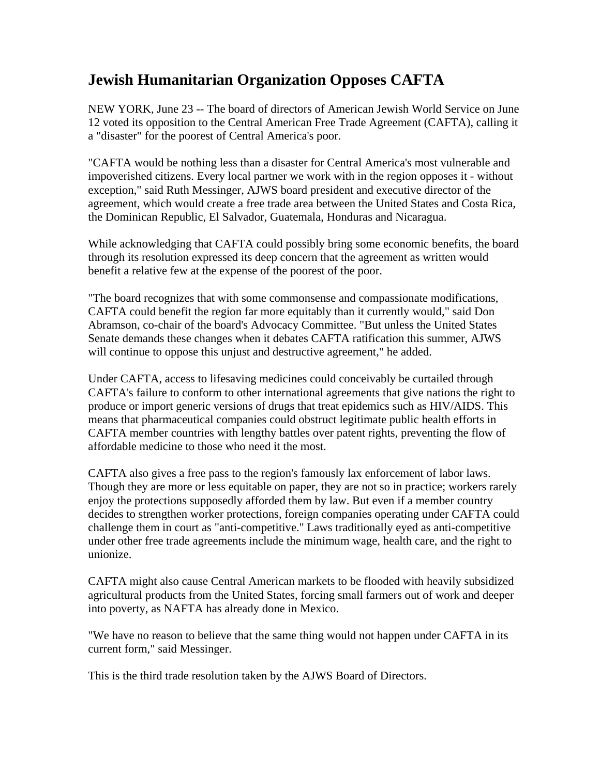## **Jewish Humanitarian Organization Opposes CAFTA**

NEW YORK, June 23 -- The board of directors of American Jewish World Service on June 12 voted its opposition to the Central American Free Trade Agreement (CAFTA), calling it a "disaster" for the poorest of Central America's poor.

"CAFTA would be nothing less than a disaster for Central America's most vulnerable and impoverished citizens. Every local partner we work with in the region opposes it - without exception," said Ruth Messinger, AJWS board president and executive director of the agreement, which would create a free trade area between the United States and Costa Rica, the Dominican Republic, El Salvador, Guatemala, Honduras and Nicaragua.

While acknowledging that CAFTA could possibly bring some economic benefits, the board through its resolution expressed its deep concern that the agreement as written would benefit a relative few at the expense of the poorest of the poor.

"The board recognizes that with some commonsense and compassionate modifications, CAFTA could benefit the region far more equitably than it currently would," said Don Abramson, co-chair of the board's Advocacy Committee. "But unless the United States Senate demands these changes when it debates CAFTA ratification this summer, AJWS will continue to oppose this unjust and destructive agreement," he added.

Under CAFTA, access to lifesaving medicines could conceivably be curtailed through CAFTA's failure to conform to other international agreements that give nations the right to produce or import generic versions of drugs that treat epidemics such as HIV/AIDS. This means that pharmaceutical companies could obstruct legitimate public health efforts in CAFTA member countries with lengthy battles over patent rights, preventing the flow of affordable medicine to those who need it the most.

CAFTA also gives a free pass to the region's famously lax enforcement of labor laws. Though they are more or less equitable on paper, they are not so in practice; workers rarely enjoy the protections supposedly afforded them by law. But even if a member country decides to strengthen worker protections, foreign companies operating under CAFTA could challenge them in court as "anti-competitive." Laws traditionally eyed as anti-competitive under other free trade agreements include the minimum wage, health care, and the right to unionize.

CAFTA might also cause Central American markets to be flooded with heavily subsidized agricultural products from the United States, forcing small farmers out of work and deeper into poverty, as NAFTA has already done in Mexico.

"We have no reason to believe that the same thing would not happen under CAFTA in its current form," said Messinger.

This is the third trade resolution taken by the AJWS Board of Directors.